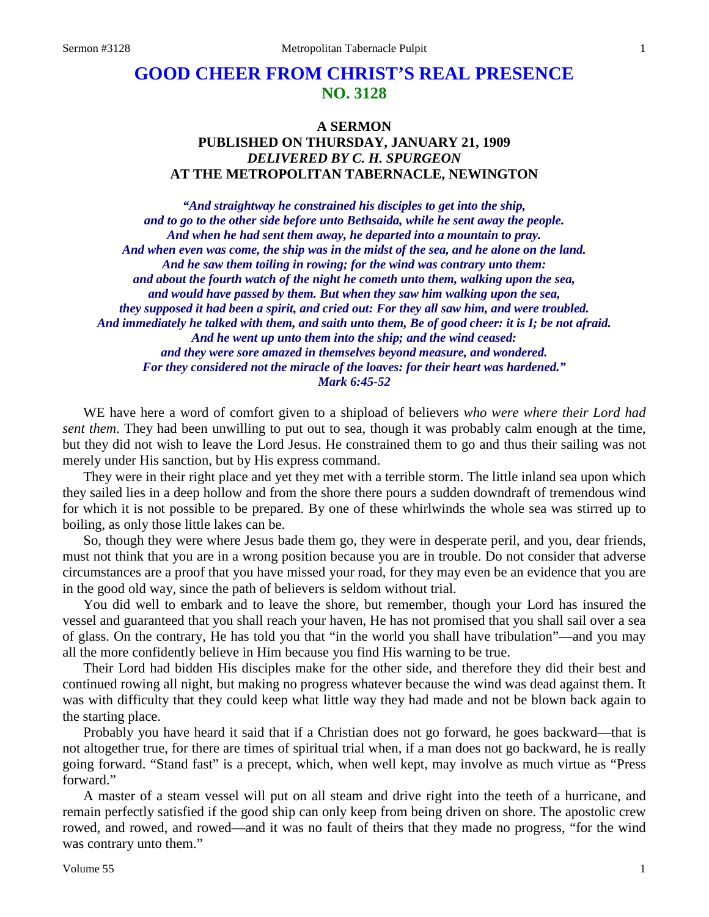## **GOOD CHEER FROM CHRIST'S REAL PRESENCE NO. 3128**

## **A SERMON PUBLISHED ON THURSDAY, JANUARY 21, 1909** *DELIVERED BY C. H. SPURGEON* **AT THE METROPOLITAN TABERNACLE, NEWINGTON**

*"And straightway he constrained his disciples to get into the ship, and to go to the other side before unto Bethsaida, while he sent away the people. And when he had sent them away, he departed into a mountain to pray. And when even was come, the ship was in the midst of the sea, and he alone on the land. And he saw them toiling in rowing; for the wind was contrary unto them: and about the fourth watch of the night he cometh unto them, walking upon the sea, and would have passed by them. But when they saw him walking upon the sea, they supposed it had been a spirit, and cried out: For they all saw him, and were troubled. And immediately he talked with them, and saith unto them, Be of good cheer: it is I; be not afraid. And he went up unto them into the ship; and the wind ceased: and they were sore amazed in themselves beyond measure, and wondered. For they considered not the miracle of the loaves: for their heart was hardened." Mark 6:45-52*

WE have here a word of comfort given to a shipload of believers *who were where their Lord had sent them*. They had been unwilling to put out to sea, though it was probably calm enough at the time, but they did not wish to leave the Lord Jesus. He constrained them to go and thus their sailing was not merely under His sanction, but by His express command.

They were in their right place and yet they met with a terrible storm. The little inland sea upon which they sailed lies in a deep hollow and from the shore there pours a sudden downdraft of tremendous wind for which it is not possible to be prepared. By one of these whirlwinds the whole sea was stirred up to boiling, as only those little lakes can be.

So, though they were where Jesus bade them go, they were in desperate peril, and you, dear friends, must not think that you are in a wrong position because you are in trouble. Do not consider that adverse circumstances are a proof that you have missed your road, for they may even be an evidence that you are in the good old way, since the path of believers is seldom without trial.

You did well to embark and to leave the shore, but remember, though your Lord has insured the vessel and guaranteed that you shall reach your haven, He has not promised that you shall sail over a sea of glass. On the contrary, He has told you that "in the world you shall have tribulation"—and you may all the more confidently believe in Him because you find His warning to be true.

Their Lord had bidden His disciples make for the other side, and therefore they did their best and continued rowing all night, but making no progress whatever because the wind was dead against them. It was with difficulty that they could keep what little way they had made and not be blown back again to the starting place.

Probably you have heard it said that if a Christian does not go forward, he goes backward—that is not altogether true, for there are times of spiritual trial when, if a man does not go backward, he is really going forward. "Stand fast" is a precept, which, when well kept, may involve as much virtue as "Press forward."

A master of a steam vessel will put on all steam and drive right into the teeth of a hurricane, and remain perfectly satisfied if the good ship can only keep from being driven on shore. The apostolic crew rowed, and rowed, and rowed—and it was no fault of theirs that they made no progress, "for the wind was contrary unto them."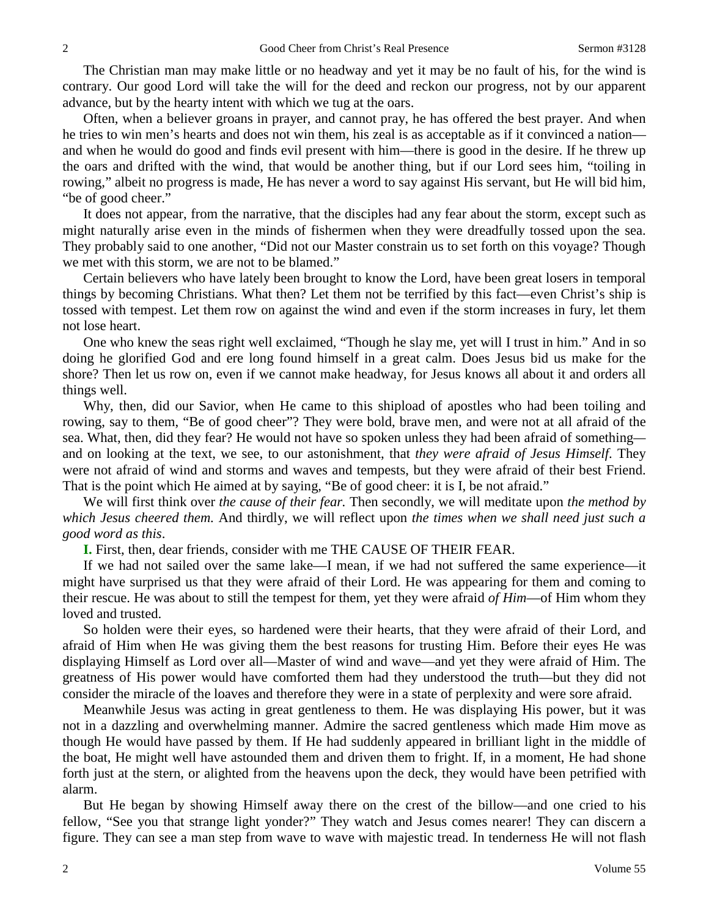The Christian man may make little or no headway and yet it may be no fault of his, for the wind is contrary. Our good Lord will take the will for the deed and reckon our progress, not by our apparent advance, but by the hearty intent with which we tug at the oars.

Often, when a believer groans in prayer, and cannot pray, he has offered the best prayer. And when he tries to win men's hearts and does not win them, his zeal is as acceptable as if it convinced a nation and when he would do good and finds evil present with him—there is good in the desire. If he threw up the oars and drifted with the wind, that would be another thing, but if our Lord sees him, "toiling in rowing," albeit no progress is made, He has never a word to say against His servant, but He will bid him, "be of good cheer."

It does not appear, from the narrative, that the disciples had any fear about the storm, except such as might naturally arise even in the minds of fishermen when they were dreadfully tossed upon the sea. They probably said to one another, "Did not our Master constrain us to set forth on this voyage? Though we met with this storm, we are not to be blamed."

Certain believers who have lately been brought to know the Lord, have been great losers in temporal things by becoming Christians. What then? Let them not be terrified by this fact—even Christ's ship is tossed with tempest. Let them row on against the wind and even if the storm increases in fury, let them not lose heart.

One who knew the seas right well exclaimed, "Though he slay me, yet will I trust in him." And in so doing he glorified God and ere long found himself in a great calm. Does Jesus bid us make for the shore? Then let us row on, even if we cannot make headway, for Jesus knows all about it and orders all things well.

Why, then, did our Savior, when He came to this shipload of apostles who had been toiling and rowing, say to them, "Be of good cheer"? They were bold, brave men, and were not at all afraid of the sea. What, then, did they fear? He would not have so spoken unless they had been afraid of something and on looking at the text, we see, to our astonishment, that *they were afraid of Jesus Himself*. They were not afraid of wind and storms and waves and tempests, but they were afraid of their best Friend. That is the point which He aimed at by saying, "Be of good cheer: it is I, be not afraid."

We will first think over *the cause of their fear.* Then secondly, we will meditate upon *the method by which Jesus cheered them.* And thirdly, we will reflect upon *the times when we shall need just such a good word as this*.

**I.** First, then, dear friends, consider with me THE CAUSE OF THEIR FEAR.

If we had not sailed over the same lake—I mean, if we had not suffered the same experience—it might have surprised us that they were afraid of their Lord. He was appearing for them and coming to their rescue. He was about to still the tempest for them, yet they were afraid *of Him*—of Him whom they loved and trusted.

So holden were their eyes, so hardened were their hearts, that they were afraid of their Lord, and afraid of Him when He was giving them the best reasons for trusting Him. Before their eyes He was displaying Himself as Lord over all—Master of wind and wave—and yet they were afraid of Him. The greatness of His power would have comforted them had they understood the truth—but they did not consider the miracle of the loaves and therefore they were in a state of perplexity and were sore afraid.

Meanwhile Jesus was acting in great gentleness to them. He was displaying His power, but it was not in a dazzling and overwhelming manner. Admire the sacred gentleness which made Him move as though He would have passed by them. If He had suddenly appeared in brilliant light in the middle of the boat, He might well have astounded them and driven them to fright. If, in a moment, He had shone forth just at the stern, or alighted from the heavens upon the deck, they would have been petrified with alarm.

But He began by showing Himself away there on the crest of the billow—and one cried to his fellow, "See you that strange light yonder?" They watch and Jesus comes nearer! They can discern a figure. They can see a man step from wave to wave with majestic tread. In tenderness He will not flash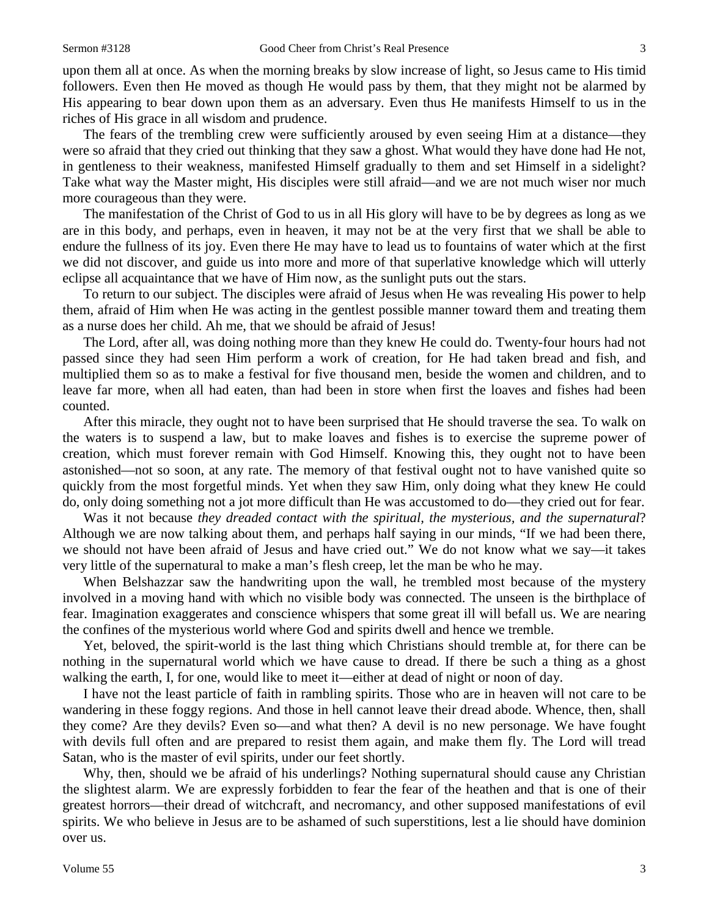upon them all at once. As when the morning breaks by slow increase of light, so Jesus came to His timid followers. Even then He moved as though He would pass by them, that they might not be alarmed by His appearing to bear down upon them as an adversary. Even thus He manifests Himself to us in the riches of His grace in all wisdom and prudence.

The fears of the trembling crew were sufficiently aroused by even seeing Him at a distance—they were so afraid that they cried out thinking that they saw a ghost. What would they have done had He not, in gentleness to their weakness, manifested Himself gradually to them and set Himself in a sidelight? Take what way the Master might, His disciples were still afraid—and we are not much wiser nor much more courageous than they were.

The manifestation of the Christ of God to us in all His glory will have to be by degrees as long as we are in this body, and perhaps, even in heaven, it may not be at the very first that we shall be able to endure the fullness of its joy. Even there He may have to lead us to fountains of water which at the first we did not discover, and guide us into more and more of that superlative knowledge which will utterly eclipse all acquaintance that we have of Him now, as the sunlight puts out the stars.

To return to our subject. The disciples were afraid of Jesus when He was revealing His power to help them, afraid of Him when He was acting in the gentlest possible manner toward them and treating them as a nurse does her child. Ah me, that we should be afraid of Jesus!

The Lord, after all, was doing nothing more than they knew He could do. Twenty-four hours had not passed since they had seen Him perform a work of creation, for He had taken bread and fish, and multiplied them so as to make a festival for five thousand men, beside the women and children, and to leave far more, when all had eaten, than had been in store when first the loaves and fishes had been counted.

After this miracle, they ought not to have been surprised that He should traverse the sea. To walk on the waters is to suspend a law, but to make loaves and fishes is to exercise the supreme power of creation, which must forever remain with God Himself. Knowing this, they ought not to have been astonished—not so soon, at any rate. The memory of that festival ought not to have vanished quite so quickly from the most forgetful minds. Yet when they saw Him, only doing what they knew He could do, only doing something not a jot more difficult than He was accustomed to do—they cried out for fear.

Was it not because *they dreaded contact with the spiritual, the mysterious, and the supernatural*? Although we are now talking about them, and perhaps half saying in our minds, "If we had been there, we should not have been afraid of Jesus and have cried out." We do not know what we say—it takes very little of the supernatural to make a man's flesh creep, let the man be who he may.

When Belshazzar saw the handwriting upon the wall, he trembled most because of the mystery involved in a moving hand with which no visible body was connected. The unseen is the birthplace of fear. Imagination exaggerates and conscience whispers that some great ill will befall us. We are nearing the confines of the mysterious world where God and spirits dwell and hence we tremble.

Yet, beloved, the spirit-world is the last thing which Christians should tremble at, for there can be nothing in the supernatural world which we have cause to dread. If there be such a thing as a ghost walking the earth, I, for one, would like to meet it—either at dead of night or noon of day.

I have not the least particle of faith in rambling spirits. Those who are in heaven will not care to be wandering in these foggy regions. And those in hell cannot leave their dread abode. Whence, then, shall they come? Are they devils? Even so—and what then? A devil is no new personage. We have fought with devils full often and are prepared to resist them again, and make them fly. The Lord will tread Satan, who is the master of evil spirits, under our feet shortly.

Why, then, should we be afraid of his underlings? Nothing supernatural should cause any Christian the slightest alarm. We are expressly forbidden to fear the fear of the heathen and that is one of their greatest horrors—their dread of witchcraft, and necromancy, and other supposed manifestations of evil spirits. We who believe in Jesus are to be ashamed of such superstitions, lest a lie should have dominion over us.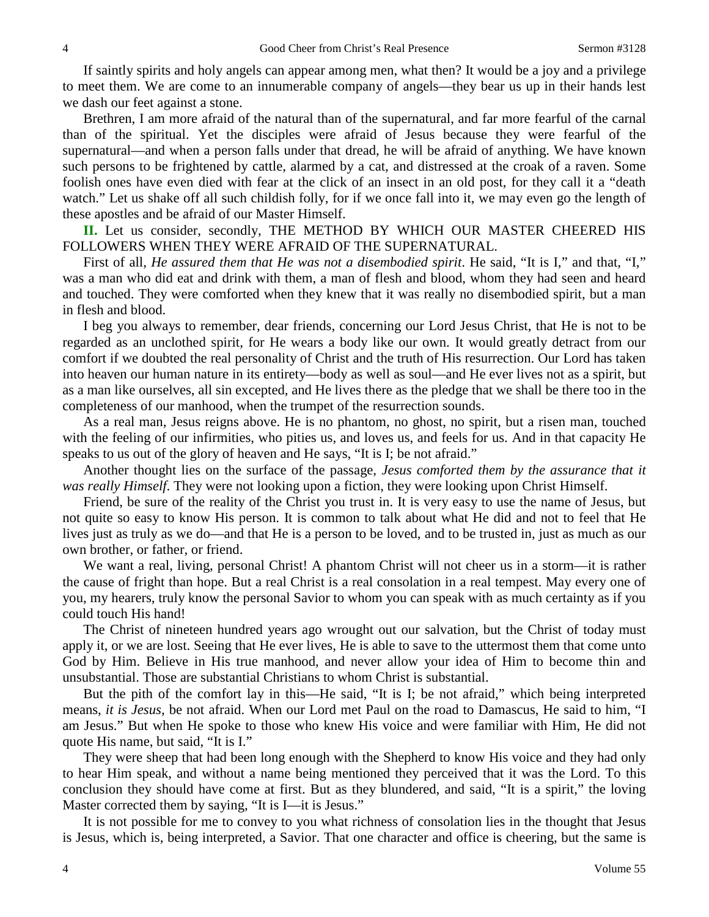If saintly spirits and holy angels can appear among men, what then? It would be a joy and a privilege to meet them. We are come to an innumerable company of angels—they bear us up in their hands lest we dash our feet against a stone.

Brethren, I am more afraid of the natural than of the supernatural, and far more fearful of the carnal than of the spiritual. Yet the disciples were afraid of Jesus because they were fearful of the supernatural—and when a person falls under that dread, he will be afraid of anything. We have known such persons to be frightened by cattle, alarmed by a cat, and distressed at the croak of a raven. Some foolish ones have even died with fear at the click of an insect in an old post, for they call it a "death watch." Let us shake off all such childish folly, for if we once fall into it, we may even go the length of these apostles and be afraid of our Master Himself.

**II.** Let us consider, secondly, THE METHOD BY WHICH OUR MASTER CHEERED HIS FOLLOWERS WHEN THEY WERE AFRAID OF THE SUPERNATURAL.

First of all, *He assured them that He was not a disembodied spirit*. He said, "It is I," and that, "I," was a man who did eat and drink with them, a man of flesh and blood, whom they had seen and heard and touched. They were comforted when they knew that it was really no disembodied spirit, but a man in flesh and blood.

I beg you always to remember, dear friends, concerning our Lord Jesus Christ, that He is not to be regarded as an unclothed spirit, for He wears a body like our own. It would greatly detract from our comfort if we doubted the real personality of Christ and the truth of His resurrection. Our Lord has taken into heaven our human nature in its entirety—body as well as soul—and He ever lives not as a spirit, but as a man like ourselves, all sin excepted, and He lives there as the pledge that we shall be there too in the completeness of our manhood, when the trumpet of the resurrection sounds.

As a real man, Jesus reigns above. He is no phantom, no ghost, no spirit, but a risen man, touched with the feeling of our infirmities, who pities us, and loves us, and feels for us. And in that capacity He speaks to us out of the glory of heaven and He says, "It is I; be not afraid."

Another thought lies on the surface of the passage, *Jesus comforted them by the assurance that it was really Himself*. They were not looking upon a fiction, they were looking upon Christ Himself.

Friend, be sure of the reality of the Christ you trust in. It is very easy to use the name of Jesus, but not quite so easy to know His person. It is common to talk about what He did and not to feel that He lives just as truly as we do—and that He is a person to be loved, and to be trusted in, just as much as our own brother, or father, or friend.

We want a real, living, personal Christ! A phantom Christ will not cheer us in a storm—it is rather the cause of fright than hope. But a real Christ is a real consolation in a real tempest. May every one of you, my hearers, truly know the personal Savior to whom you can speak with as much certainty as if you could touch His hand!

The Christ of nineteen hundred years ago wrought out our salvation, but the Christ of today must apply it, or we are lost. Seeing that He ever lives, He is able to save to the uttermost them that come unto God by Him. Believe in His true manhood, and never allow your idea of Him to become thin and unsubstantial. Those are substantial Christians to whom Christ is substantial.

But the pith of the comfort lay in this—He said, "It is I; be not afraid," which being interpreted means, *it is Jesus*, be not afraid. When our Lord met Paul on the road to Damascus, He said to him, "I am Jesus." But when He spoke to those who knew His voice and were familiar with Him, He did not quote His name, but said, "It is I."

They were sheep that had been long enough with the Shepherd to know His voice and they had only to hear Him speak, and without a name being mentioned they perceived that it was the Lord. To this conclusion they should have come at first. But as they blundered, and said, "It is a spirit," the loving Master corrected them by saying, "It is I—it is Jesus."

It is not possible for me to convey to you what richness of consolation lies in the thought that Jesus is Jesus, which is, being interpreted, a Savior. That one character and office is cheering, but the same is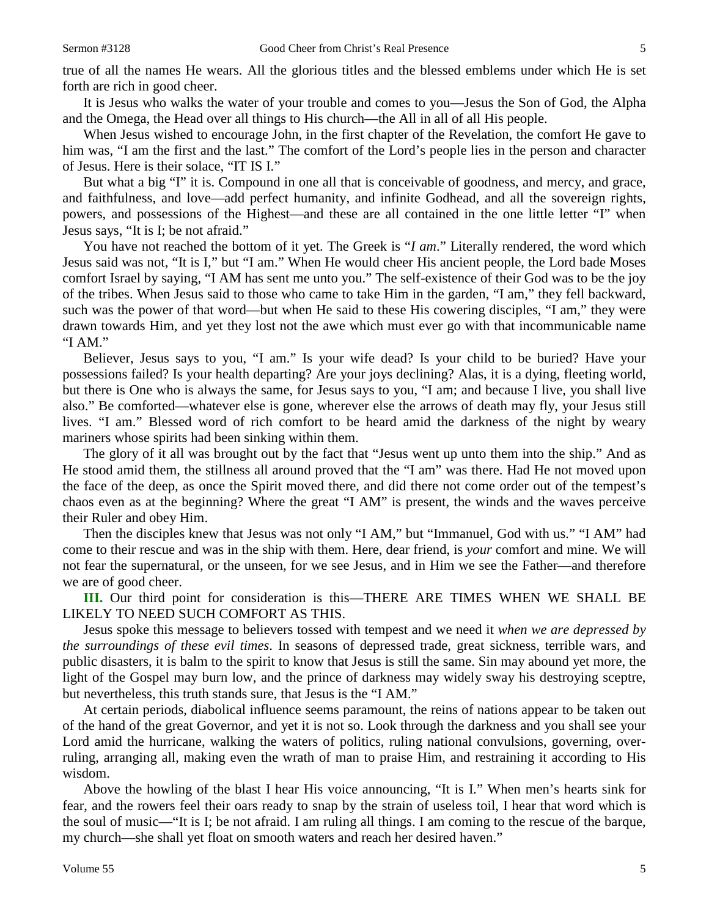true of all the names He wears. All the glorious titles and the blessed emblems under which He is set forth are rich in good cheer.

It is Jesus who walks the water of your trouble and comes to you—Jesus the Son of God, the Alpha and the Omega, the Head over all things to His church—the All in all of all His people.

When Jesus wished to encourage John, in the first chapter of the Revelation, the comfort He gave to him was, "I am the first and the last." The comfort of the Lord's people lies in the person and character of Jesus. Here is their solace, "IT IS I."

But what a big "I" it is. Compound in one all that is conceivable of goodness, and mercy, and grace, and faithfulness, and love—add perfect humanity, and infinite Godhead, and all the sovereign rights, powers, and possessions of the Highest—and these are all contained in the one little letter "I" when Jesus says, "It is I; be not afraid."

You have not reached the bottom of it yet. The Greek is "*I am*." Literally rendered, the word which Jesus said was not, "It is I," but "I am." When He would cheer His ancient people, the Lord bade Moses comfort Israel by saying, "I AM has sent me unto you." The self-existence of their God was to be the joy of the tribes. When Jesus said to those who came to take Him in the garden, "I am," they fell backward, such was the power of that word—but when He said to these His cowering disciples, "I am," they were drawn towards Him, and yet they lost not the awe which must ever go with that incommunicable name "I AM."

Believer, Jesus says to you, "I am." Is your wife dead? Is your child to be buried? Have your possessions failed? Is your health departing? Are your joys declining? Alas, it is a dying, fleeting world, but there is One who is always the same, for Jesus says to you, "I am; and because I live, you shall live also." Be comforted—whatever else is gone, wherever else the arrows of death may fly, your Jesus still lives. "I am." Blessed word of rich comfort to be heard amid the darkness of the night by weary mariners whose spirits had been sinking within them.

The glory of it all was brought out by the fact that "Jesus went up unto them into the ship." And as He stood amid them, the stillness all around proved that the "I am" was there. Had He not moved upon the face of the deep, as once the Spirit moved there, and did there not come order out of the tempest's chaos even as at the beginning? Where the great "I AM" is present, the winds and the waves perceive their Ruler and obey Him.

Then the disciples knew that Jesus was not only "I AM," but "Immanuel, God with us." "I AM" had come to their rescue and was in the ship with them. Here, dear friend, is *your* comfort and mine. We will not fear the supernatural, or the unseen, for we see Jesus, and in Him we see the Father—and therefore we are of good cheer.

**III.** Our third point for consideration is this—THERE ARE TIMES WHEN WE SHALL BE LIKELY TO NEED SUCH COMFORT AS THIS.

Jesus spoke this message to believers tossed with tempest and we need it *when we are depressed by the surroundings of these evil times*. In seasons of depressed trade, great sickness, terrible wars, and public disasters, it is balm to the spirit to know that Jesus is still the same. Sin may abound yet more, the light of the Gospel may burn low, and the prince of darkness may widely sway his destroying sceptre, but nevertheless, this truth stands sure, that Jesus is the "I AM."

At certain periods, diabolical influence seems paramount, the reins of nations appear to be taken out of the hand of the great Governor, and yet it is not so. Look through the darkness and you shall see your Lord amid the hurricane, walking the waters of politics, ruling national convulsions, governing, overruling, arranging all, making even the wrath of man to praise Him, and restraining it according to His wisdom.

Above the howling of the blast I hear His voice announcing, "It is I." When men's hearts sink for fear, and the rowers feel their oars ready to snap by the strain of useless toil, I hear that word which is the soul of music—"It is I; be not afraid. I am ruling all things. I am coming to the rescue of the barque, my church—she shall yet float on smooth waters and reach her desired haven."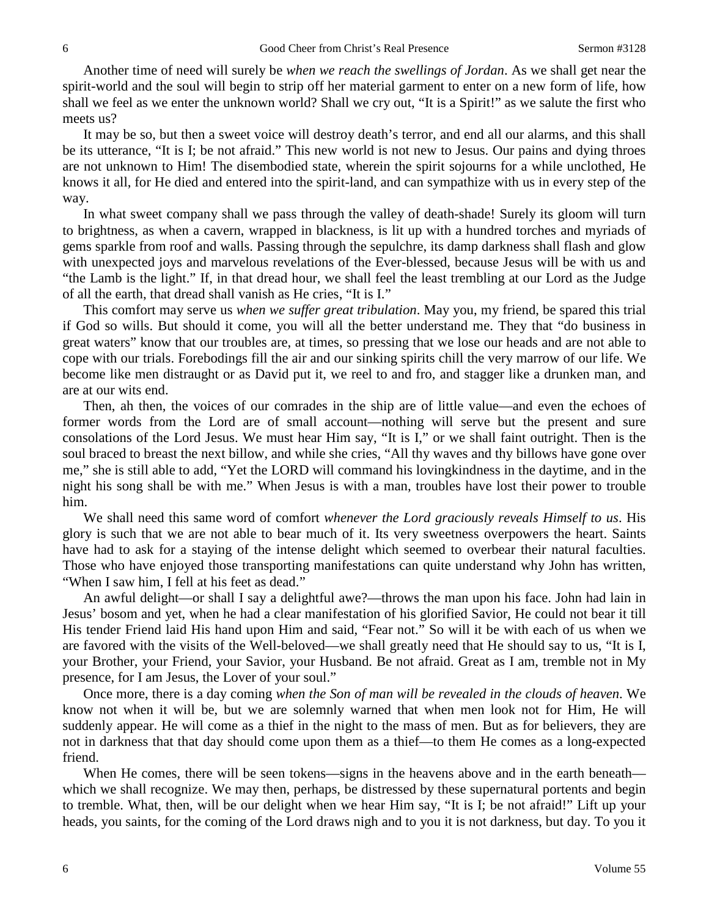Another time of need will surely be *when we reach the swellings of Jordan*. As we shall get near the spirit-world and the soul will begin to strip off her material garment to enter on a new form of life, how shall we feel as we enter the unknown world? Shall we cry out, "It is a Spirit!" as we salute the first who meets us?

It may be so, but then a sweet voice will destroy death's terror, and end all our alarms, and this shall be its utterance, "It is I; be not afraid." This new world is not new to Jesus. Our pains and dying throes are not unknown to Him! The disembodied state, wherein the spirit sojourns for a while unclothed, He knows it all, for He died and entered into the spirit-land, and can sympathize with us in every step of the way.

In what sweet company shall we pass through the valley of death-shade! Surely its gloom will turn to brightness, as when a cavern, wrapped in blackness, is lit up with a hundred torches and myriads of gems sparkle from roof and walls. Passing through the sepulchre, its damp darkness shall flash and glow with unexpected joys and marvelous revelations of the Ever-blessed, because Jesus will be with us and "the Lamb is the light." If, in that dread hour, we shall feel the least trembling at our Lord as the Judge of all the earth, that dread shall vanish as He cries, "It is I."

This comfort may serve us *when we suffer great tribulation*. May you, my friend, be spared this trial if God so wills. But should it come, you will all the better understand me. They that "do business in great waters" know that our troubles are, at times, so pressing that we lose our heads and are not able to cope with our trials. Forebodings fill the air and our sinking spirits chill the very marrow of our life. We become like men distraught or as David put it, we reel to and fro, and stagger like a drunken man, and are at our wits end.

Then, ah then, the voices of our comrades in the ship are of little value—and even the echoes of former words from the Lord are of small account—nothing will serve but the present and sure consolations of the Lord Jesus. We must hear Him say, "It is I," or we shall faint outright. Then is the soul braced to breast the next billow, and while she cries, "All thy waves and thy billows have gone over me," she is still able to add, "Yet the LORD will command his lovingkindness in the daytime, and in the night his song shall be with me." When Jesus is with a man, troubles have lost their power to trouble him.

We shall need this same word of comfort *whenever the Lord graciously reveals Himself to us*. His glory is such that we are not able to bear much of it. Its very sweetness overpowers the heart. Saints have had to ask for a staying of the intense delight which seemed to overbear their natural faculties. Those who have enjoyed those transporting manifestations can quite understand why John has written, "When I saw him, I fell at his feet as dead."

An awful delight—or shall I say a delightful awe?—throws the man upon his face. John had lain in Jesus' bosom and yet, when he had a clear manifestation of his glorified Savior, He could not bear it till His tender Friend laid His hand upon Him and said, "Fear not." So will it be with each of us when we are favored with the visits of the Well-beloved—we shall greatly need that He should say to us, "It is I, your Brother, your Friend, your Savior, your Husband. Be not afraid. Great as I am, tremble not in My presence, for I am Jesus, the Lover of your soul."

Once more, there is a day coming *when the Son of man will be revealed in the clouds of heaven*. We know not when it will be, but we are solemnly warned that when men look not for Him, He will suddenly appear. He will come as a thief in the night to the mass of men. But as for believers, they are not in darkness that that day should come upon them as a thief—to them He comes as a long-expected friend.

When He comes, there will be seen tokens—signs in the heavens above and in the earth beneath which we shall recognize. We may then, perhaps, be distressed by these supernatural portents and begin to tremble. What, then, will be our delight when we hear Him say, "It is I; be not afraid!" Lift up your heads, you saints, for the coming of the Lord draws nigh and to you it is not darkness, but day. To you it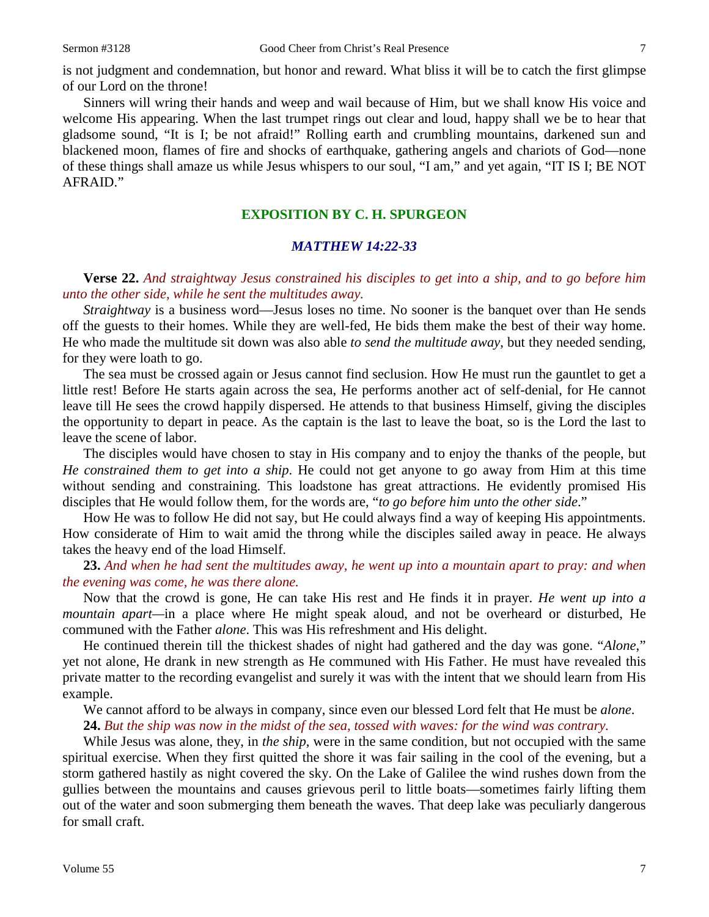is not judgment and condemnation, but honor and reward. What bliss it will be to catch the first glimpse of our Lord on the throne!

Sinners will wring their hands and weep and wail because of Him, but we shall know His voice and welcome His appearing. When the last trumpet rings out clear and loud, happy shall we be to hear that gladsome sound, "It is I; be not afraid!" Rolling earth and crumbling mountains, darkened sun and blackened moon, flames of fire and shocks of earthquake, gathering angels and chariots of God—none of these things shall amaze us while Jesus whispers to our soul, "I am," and yet again, "IT IS I; BE NOT AFRAID."

## **EXPOSITION BY C. H. SPURGEON**

## *MATTHEW 14:22-33*

**Verse 22.** *And straightway Jesus constrained his disciples to get into a ship, and to go before him unto the other side, while he sent the multitudes away.*

*Straightway* is a business word—Jesus loses no time. No sooner is the banquet over than He sends off the guests to their homes. While they are well-fed, He bids them make the best of their way home. He who made the multitude sit down was also able *to send the multitude away*, but they needed sending, for they were loath to go.

The sea must be crossed again or Jesus cannot find seclusion. How He must run the gauntlet to get a little rest! Before He starts again across the sea, He performs another act of self-denial, for He cannot leave till He sees the crowd happily dispersed. He attends to that business Himself, giving the disciples the opportunity to depart in peace. As the captain is the last to leave the boat, so is the Lord the last to leave the scene of labor.

The disciples would have chosen to stay in His company and to enjoy the thanks of the people, but *He constrained them to get into a ship*. He could not get anyone to go away from Him at this time without sending and constraining. This loadstone has great attractions. He evidently promised His disciples that He would follow them, for the words are, "*to go before him unto the other side*."

How He was to follow He did not say, but He could always find a way of keeping His appointments. How considerate of Him to wait amid the throng while the disciples sailed away in peace. He always takes the heavy end of the load Himself.

**23.** *And when he had sent the multitudes away, he went up into a mountain apart to pray: and when the evening was come, he was there alone.* 

Now that the crowd is gone, He can take His rest and He finds it in prayer. *He went up into a mountain apart—*in a place where He might speak aloud, and not be overheard or disturbed, He communed with the Father *alone*. This was His refreshment and His delight.

He continued therein till the thickest shades of night had gathered and the day was gone. "*Alone*," yet not alone, He drank in new strength as He communed with His Father. He must have revealed this private matter to the recording evangelist and surely it was with the intent that we should learn from His example.

We cannot afford to be always in company, since even our blessed Lord felt that He must be *alone*.

**24.** *But the ship was now in the midst of the sea, tossed with waves: for the wind was contrary.* 

While Jesus was alone, they, in *the ship*, were in the same condition, but not occupied with the same spiritual exercise. When they first quitted the shore it was fair sailing in the cool of the evening, but a storm gathered hastily as night covered the sky. On the Lake of Galilee the wind rushes down from the gullies between the mountains and causes grievous peril to little boats—sometimes fairly lifting them out of the water and soon submerging them beneath the waves. That deep lake was peculiarly dangerous for small craft.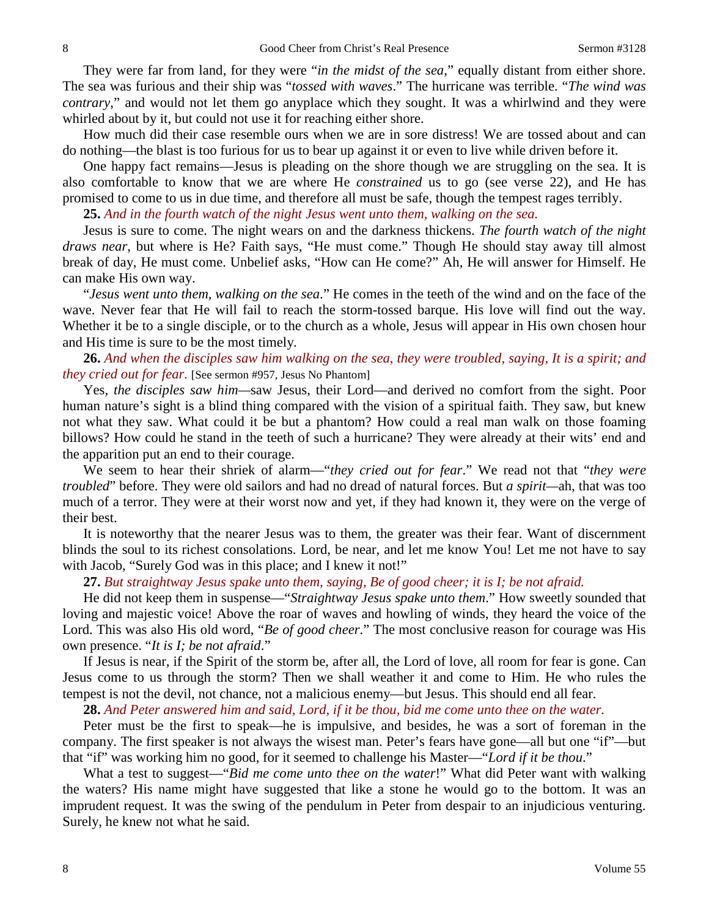They were far from land, for they were "*in the midst of the sea*," equally distant from either shore. The sea was furious and their ship was "*tossed with waves*." The hurricane was terrible. "*The wind was contrary*," and would not let them go anyplace which they sought. It was a whirlwind and they were whirled about by it, but could not use it for reaching either shore.

How much did their case resemble ours when we are in sore distress! We are tossed about and can do nothing—the blast is too furious for us to bear up against it or even to live while driven before it.

One happy fact remains—Jesus is pleading on the shore though we are struggling on the sea. It is also comfortable to know that we are where He *constrained* us to go (see verse 22), and He has promised to come to us in due time, and therefore all must be safe, though the tempest rages terribly.

**25.** *And in the fourth watch of the night Jesus went unto them, walking on the sea.* 

Jesus is sure to come. The night wears on and the darkness thickens. *The fourth watch of the night draws near*, but where is He? Faith says, "He must come." Though He should stay away till almost break of day, He must come. Unbelief asks, "How can He come?" Ah, He will answer for Himself. He can make His own way.

"*Jesus went unto them, walking on the sea*." He comes in the teeth of the wind and on the face of the wave. Never fear that He will fail to reach the storm-tossed barque. His love will find out the way. Whether it be to a single disciple, or to the church as a whole, Jesus will appear in His own chosen hour and His time is sure to be the most timely.

**26.** *And when the disciples saw him walking on the sea, they were troubled, saying, It is a spirit; and they cried out for fear.* [See sermon #957, Jesus No Phantom]

Yes, *the disciples saw him—*saw Jesus, their Lord—and derived no comfort from the sight. Poor human nature's sight is a blind thing compared with the vision of a spiritual faith. They saw, but knew not what they saw. What could it be but a phantom? How could a real man walk on those foaming billows? How could he stand in the teeth of such a hurricane? They were already at their wits' end and the apparition put an end to their courage.

We seem to hear their shriek of alarm—"*they cried out for fear*." We read not that "*they were troubled*" before. They were old sailors and had no dread of natural forces. But *a spirit—*ah, that was too much of a terror. They were at their worst now and yet, if they had known it, they were on the verge of their best.

It is noteworthy that the nearer Jesus was to them, the greater was their fear. Want of discernment blinds the soul to its richest consolations. Lord, be near, and let me know You! Let me not have to say with Jacob, "Surely God was in this place; and I knew it not!"

**27.** *But straightway Jesus spake unto them, saying, Be of good cheer; it is I; be not afraid.* 

He did not keep them in suspense—"*Straightway Jesus spake unto them*." How sweetly sounded that loving and majestic voice! Above the roar of waves and howling of winds, they heard the voice of the Lord. This was also His old word, "*Be of good cheer*." The most conclusive reason for courage was His own presence. "*It is I; be not afraid*."

If Jesus is near, if the Spirit of the storm be, after all, the Lord of love, all room for fear is gone. Can Jesus come to us through the storm? Then we shall weather it and come to Him. He who rules the tempest is not the devil, not chance, not a malicious enemy—but Jesus. This should end all fear.

**28.** *And Peter answered him and said, Lord, if it be thou, bid me come unto thee on the water.* 

Peter must be the first to speak—he is impulsive, and besides, he was a sort of foreman in the company. The first speaker is not always the wisest man. Peter's fears have gone—all but one "if"—but that "if" was working him no good, for it seemed to challenge his Master—"*Lord if it be thou*."

What a test to suggest—"*Bid me come unto thee on the water*!" What did Peter want with walking the waters? His name might have suggested that like a stone he would go to the bottom. It was an imprudent request. It was the swing of the pendulum in Peter from despair to an injudicious venturing. Surely, he knew not what he said.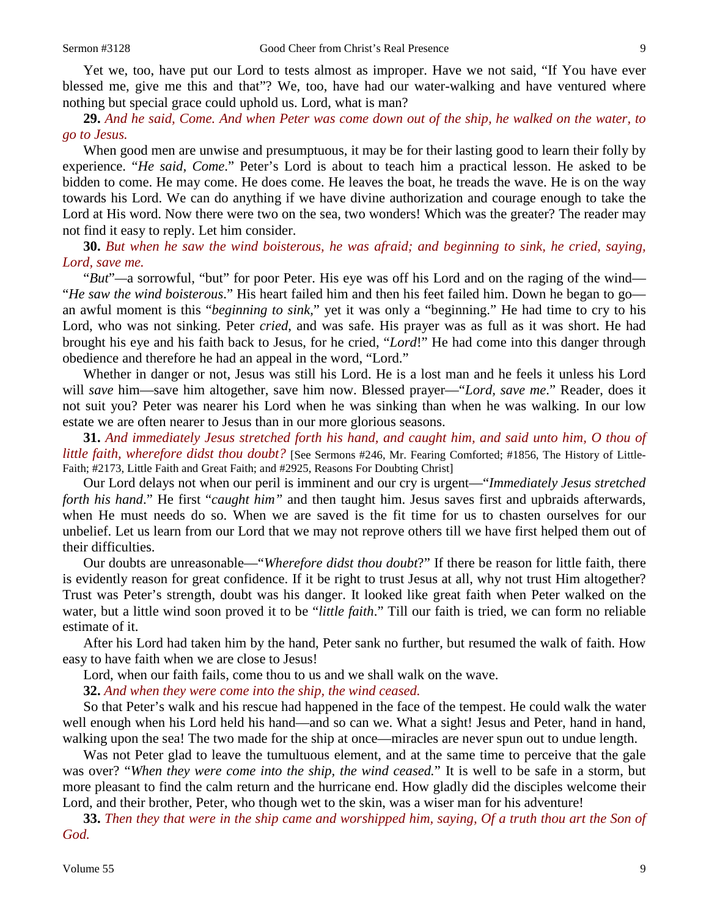Yet we, too, have put our Lord to tests almost as improper. Have we not said, "If You have ever blessed me, give me this and that"? We, too, have had our water-walking and have ventured where nothing but special grace could uphold us. Lord, what is man?

**29.** *And he said, Come. And when Peter was come down out of the ship, he walked on the water, to go to Jesus.* 

When good men are unwise and presumptuous, it may be for their lasting good to learn their folly by experience. "*He said, Come*." Peter's Lord is about to teach him a practical lesson. He asked to be bidden to come. He may come. He does come. He leaves the boat, he treads the wave. He is on the way towards his Lord. We can do anything if we have divine authorization and courage enough to take the Lord at His word. Now there were two on the sea, two wonders! Which was the greater? The reader may not find it easy to reply. Let him consider.

**30.** *But when he saw the wind boisterous, he was afraid; and beginning to sink, he cried, saying, Lord, save me.*

"*But*"*—*a sorrowful, "but" for poor Peter. His eye was off his Lord and on the raging of the wind— "*He saw the wind boisterous*." His heart failed him and then his feet failed him. Down he began to go an awful moment is this "*beginning to sink,*" yet it was only a "beginning." He had time to cry to his Lord, who was not sinking. Peter *cried*, and was safe. His prayer was as full as it was short. He had brought his eye and his faith back to Jesus, for he cried, "*Lord*!" He had come into this danger through obedience and therefore he had an appeal in the word, "Lord."

Whether in danger or not, Jesus was still his Lord. He is a lost man and he feels it unless his Lord will *save* him—save him altogether, save him now. Blessed prayer—"*Lord, save me*." Reader, does it not suit you? Peter was nearer his Lord when he was sinking than when he was walking. In our low estate we are often nearer to Jesus than in our more glorious seasons.

**31.** *And immediately Jesus stretched forth his hand, and caught him, and said unto him, O thou of little faith, wherefore didst thou doubt?* [See Sermons #246, Mr. Fearing Comforted; #1856, The History of Little-Faith; #2173, Little Faith and Great Faith; and #2925, Reasons For Doubting Christ]

Our Lord delays not when our peril is imminent and our cry is urgent—"*Immediately Jesus stretched forth his hand*." He first "*caught him"* and then taught him. Jesus saves first and upbraids afterwards, when He must needs do so. When we are saved is the fit time for us to chasten ourselves for our unbelief. Let us learn from our Lord that we may not reprove others till we have first helped them out of their difficulties.

Our doubts are unreasonable—"*Wherefore didst thou doubt*?" If there be reason for little faith, there is evidently reason for great confidence. If it be right to trust Jesus at all, why not trust Him altogether? Trust was Peter's strength, doubt was his danger. It looked like great faith when Peter walked on the water, but a little wind soon proved it to be "*little faith*." Till our faith is tried, we can form no reliable estimate of it.

After his Lord had taken him by the hand, Peter sank no further, but resumed the walk of faith. How easy to have faith when we are close to Jesus!

Lord, when our faith fails, come thou to us and we shall walk on the wave.

**32.** *And when they were come into the ship, the wind ceased.* 

So that Peter's walk and his rescue had happened in the face of the tempest. He could walk the water well enough when his Lord held his hand—and so can we. What a sight! Jesus and Peter, hand in hand, walking upon the sea! The two made for the ship at once—miracles are never spun out to undue length.

Was not Peter glad to leave the tumultuous element, and at the same time to perceive that the gale was over? "*When they were come into the ship, the wind ceased.*" It is well to be safe in a storm, but more pleasant to find the calm return and the hurricane end. How gladly did the disciples welcome their Lord, and their brother, Peter, who though wet to the skin, was a wiser man for his adventure!

**33.** *Then they that were in the ship came and worshipped him, saying, Of a truth thou art the Son of God.*